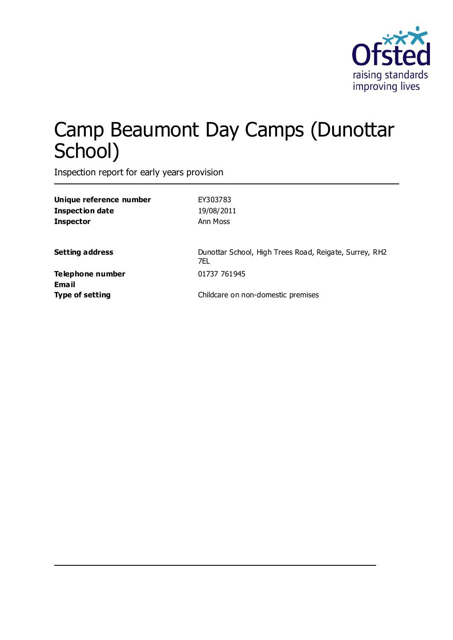

# Camp Beaumont Day Camps (Dunottar School)

Inspection report for early years provision

| Unique reference number          | EY303783                                                      |
|----------------------------------|---------------------------------------------------------------|
| <b>Inspection date</b>           | 19/08/2011                                                    |
| <b>Inspector</b>                 | Ann Moss                                                      |
| <b>Setting address</b>           | Dunottar School, High Trees Road, Reigate, Surrey, RH2<br>7FL |
| Telephone number<br><b>Email</b> | 01737 761945                                                  |
| <b>Type of setting</b>           | Childcare on non-domestic premises                            |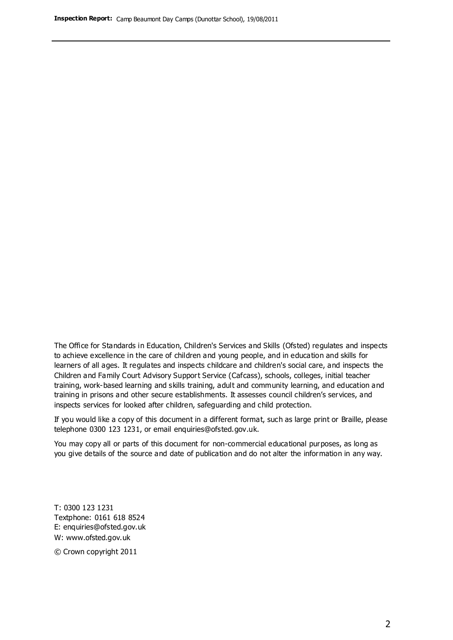The Office for Standards in Education, Children's Services and Skills (Ofsted) regulates and inspects to achieve excellence in the care of children and young people, and in education and skills for learners of all ages. It regulates and inspects childcare and children's social care, and inspects the Children and Family Court Advisory Support Service (Cafcass), schools, colleges, initial teacher training, work-based learning and skills training, adult and community learning, and education and training in prisons and other secure establishments. It assesses council children's services, and inspects services for looked after children, safeguarding and child protection.

If you would like a copy of this document in a different format, such as large print or Braille, please telephone 0300 123 1231, or email enquiries@ofsted.gov.uk.

You may copy all or parts of this document for non-commercial educational purposes, as long as you give details of the source and date of publication and do not alter the information in any way.

T: 0300 123 1231 Textphone: 0161 618 8524 E: enquiries@ofsted.gov.uk W: [www.ofsted.gov.uk](http://www.ofsted.gov.uk/)

© Crown copyright 2011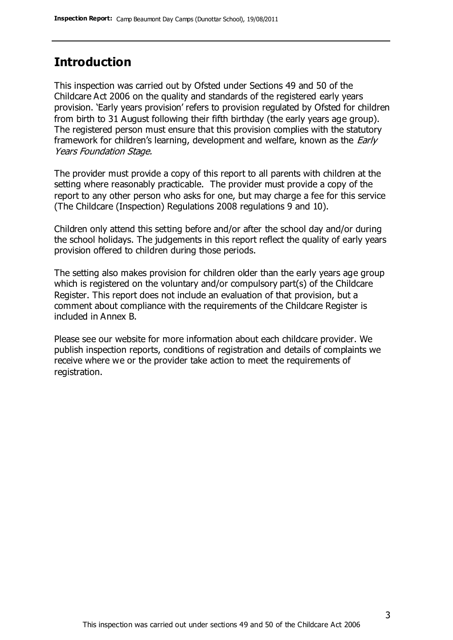## **Introduction**

This inspection was carried out by Ofsted under Sections 49 and 50 of the Childcare Act 2006 on the quality and standards of the registered early years provision. 'Early years provision' refers to provision regulated by Ofsted for children from birth to 31 August following their fifth birthday (the early years age group). The registered person must ensure that this provision complies with the statutory framework for children's learning, development and welfare, known as the *Early* Years Foundation Stage.

The provider must provide a copy of this report to all parents with children at the setting where reasonably practicable. The provider must provide a copy of the report to any other person who asks for one, but may charge a fee for this service (The Childcare (Inspection) Regulations 2008 regulations 9 and 10).

Children only attend this setting before and/or after the school day and/or during the school holidays. The judgements in this report reflect the quality of early years provision offered to children during those periods.

The setting also makes provision for children older than the early years age group which is registered on the voluntary and/or compulsory part(s) of the Childcare Register. This report does not include an evaluation of that provision, but a comment about compliance with the requirements of the Childcare Register is included in Annex B.

Please see our website for more information about each childcare provider. We publish inspection reports, conditions of registration and details of complaints we receive where we or the provider take action to meet the requirements of registration.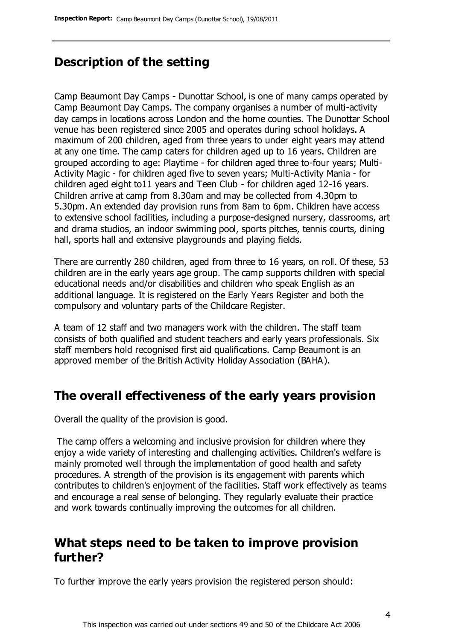#### **Description of the setting**

Camp Beaumont Day Camps - Dunottar School, is one of many camps operated by Camp Beaumont Day Camps. The company organises a number of multi-activity day camps in locations across London and the home counties. The Dunottar School venue has been registered since 2005 and operates during school holidays. A maximum of 200 children, aged from three years to under eight years may attend at any one time. The camp caters for children aged up to 16 years. Children are grouped according to age: Playtime - for children aged three to-four years; Multi-Activity Magic - for children aged five to seven years; Multi-Activity Mania - for children aged eight to11 years and Teen Club - for children aged 12-16 years. Children arrive at camp from 8.30am and may be collected from 4.30pm to 5.30pm. An extended day provision runs from 8am to 6pm. Children have access to extensive school facilities, including a purpose-designed nursery, classrooms, art and drama studios, an indoor swimming pool, sports pitches, tennis courts, dining hall, sports hall and extensive playgrounds and playing fields.

There are currently 280 children, aged from three to 16 years, on roll. Of these, 53 children are in the early years age group. The camp supports children with special educational needs and/or disabilities and children who speak English as an additional language. It is registered on the Early Years Register and both the compulsory and voluntary parts of the Childcare Register.

A team of 12 staff and two managers work with the children. The staff team consists of both qualified and student teachers and early years professionals. Six staff members hold recognised first aid qualifications. Camp Beaumont is an approved member of the British Activity Holiday Association (BAHA).

#### **The overall effectiveness of the early years provision**

Overall the quality of the provision is good.

The camp offers a welcoming and inclusive provision for children where they enjoy a wide variety of interesting and challenging activities. Children's welfare is mainly promoted well through the implementation of good health and safety procedures. A strength of the provision is its engagement with parents which contributes to children's enjoyment of the facilities. Staff work effectively as teams and encourage a real sense of belonging. They regularly evaluate their practice and work towards continually improving the outcomes for all children.

#### **What steps need to be taken to improve provision further?**

To further improve the early years provision the registered person should: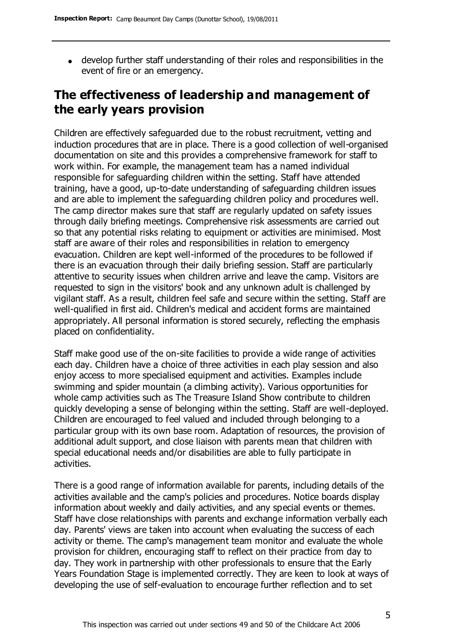develop further staff understanding of their roles and responsibilities in the event of fire or an emergency.

# **The effectiveness of leadership and management of the early years provision**

Children are effectively safeguarded due to the robust recruitment, vetting and induction procedures that are in place. There is a good collection of well-organised documentation on site and this provides a comprehensive framework for staff to work within. For example, the management team has a named individual responsible for safeguarding children within the setting. Staff have attended training, have a good, up-to-date understanding of safeguarding children issues and are able to implement the safeguarding children policy and procedures well. The camp director makes sure that staff are regularly updated on safety issues through daily briefing meetings. Comprehensive risk assessments are carried out so that any potential risks relating to equipment or activities are minimised. Most staff are aware of their roles and responsibilities in relation to emergency evacuation. Children are kept well-informed of the procedures to be followed if there is an evacuation through their daily briefing session. Staff are particularly attentive to security issues when children arrive and leave the camp. Visitors are requested to sign in the visitors' book and any unknown adult is challenged by vigilant staff. As a result, children feel safe and secure within the setting. Staff are well-qualified in first aid. Children's medical and accident forms are maintained appropriately. All personal information is stored securely, reflecting the emphasis placed on confidentiality.

Staff make good use of the on-site facilities to provide a wide range of activities each day. Children have a choice of three activities in each play session and also enjoy access to more specialised equipment and activities. Examples include swimming and spider mountain (a climbing activity). Various opportunities for whole camp activities such as The Treasure Island Show contribute to children quickly developing a sense of belonging within the setting. Staff are well-deployed. Children are encouraged to feel valued and included through belonging to a particular group with its own base room. Adaptation of resources, the provision of additional adult support, and close liaison with parents mean that children with special educational needs and/or disabilities are able to fully participate in activities.

There is a good range of information available for parents, including details of the activities available and the camp's policies and procedures. Notice boards display information about weekly and daily activities, and any special events or themes. Staff have close relationships with parents and exchange information verbally each day. Parents' views are taken into account when evaluating the success of each activity or theme. The camp's management team monitor and evaluate the whole provision for children, encouraging staff to reflect on their practice from day to day. They work in partnership with other professionals to ensure that the Early Years Foundation Stage is implemented correctly. They are keen to look at ways of developing the use of self-evaluation to encourage further reflection and to set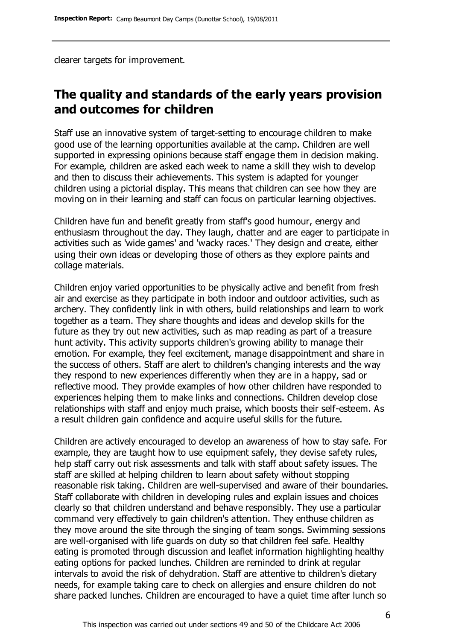clearer targets for improvement.

## **The quality and standards of the early years provision and outcomes for children**

Staff use an innovative system of target-setting to encourage children to make good use of the learning opportunities available at the camp. Children are well supported in expressing opinions because staff engage them in decision making. For example, children are asked each week to name a skill they wish to develop and then to discuss their achievements. This system is adapted for younger children using a pictorial display. This means that children can see how they are moving on in their learning and staff can focus on particular learning objectives.

Children have fun and benefit greatly from staff's good humour, energy and enthusiasm throughout the day. They laugh, chatter and are eager to participate in activities such as 'wide games' and 'wacky races.' They design and create, either using their own ideas or developing those of others as they explore paints and collage materials.

Children enjoy varied opportunities to be physically active and benefit from fresh air and exercise as they participate in both indoor and outdoor activities, such as archery. They confidently link in with others, build relationships and learn to work together as a team. They share thoughts and ideas and develop skills for the future as they try out new activities, such as map reading as part of a treasure hunt activity. This activity supports children's growing ability to manage their emotion. For example, they feel excitement, manage disappointment and share in the success of others. Staff are alert to children's changing interests and the way they respond to new experiences differently when they are in a happy, sad or reflective mood. They provide examples of how other children have responded to experiences helping them to make links and connections. Children develop close relationships with staff and enjoy much praise, which boosts their self-esteem. As a result children gain confidence and acquire useful skills for the future.

Children are actively encouraged to develop an awareness of how to stay safe. For example, they are taught how to use equipment safely, they devise safety rules, help staff carry out risk assessments and talk with staff about safety issues. The staff are skilled at helping children to learn about safety without stopping reasonable risk taking. Children are well-supervised and aware of their boundaries. Staff collaborate with children in developing rules and explain issues and choices clearly so that children understand and behave responsibly. They use a particular command very effectively to gain children's attention. They enthuse children as they move around the site through the singing of team songs. Swimming sessions are well-organised with life guards on duty so that children feel safe. Healthy eating is promoted through discussion and leaflet information highlighting healthy eating options for packed lunches. Children are reminded to drink at regular intervals to avoid the risk of dehydration. Staff are attentive to children's dietary needs, for example taking care to check on allergies and ensure children do not share packed lunches. Children are encouraged to have a quiet time after lunch so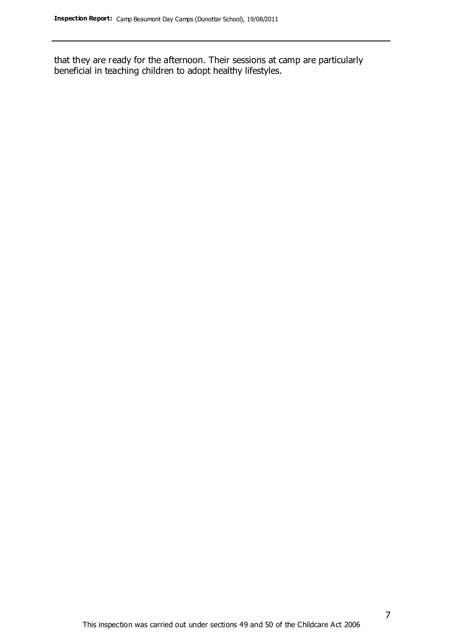that they are ready for the afternoon. Their sessions at camp are particularly beneficial in teaching children to adopt healthy lifestyles.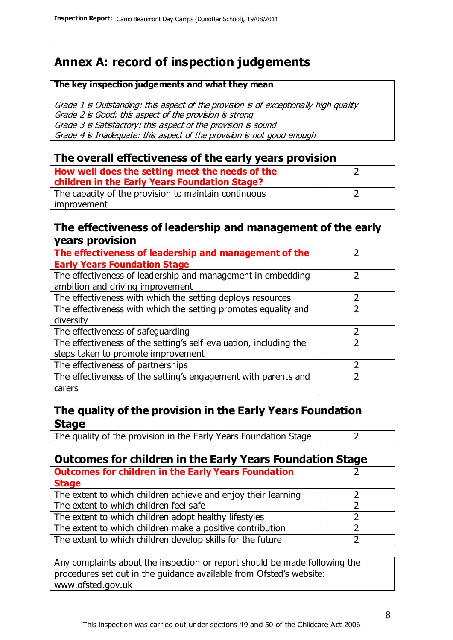# **Annex A: record of inspection judgements**

#### **The key inspection judgements and what they mean**

Grade 1 is Outstanding: this aspect of the provision is of exceptionally high quality Grade 2 is Good: this aspect of the provision is strong Grade 3 is Satisfactory: this aspect of the provision is sound Grade 4 is Inadequate: this aspect of the provision is not good enough

#### **The overall effectiveness of the early years provision**

| How well does the setting meet the needs of the<br>children in the Early Years Foundation Stage? |  |
|--------------------------------------------------------------------------------------------------|--|
| The capacity of the provision to maintain continuous                                             |  |
| improvement                                                                                      |  |

#### **The effectiveness of leadership and management of the early years provision**

| The effectiveness of leadership and management of the             |  |
|-------------------------------------------------------------------|--|
| <b>Early Years Foundation Stage</b>                               |  |
| The effectiveness of leadership and management in embedding       |  |
| ambition and driving improvement                                  |  |
| The effectiveness with which the setting deploys resources        |  |
| The effectiveness with which the setting promotes equality and    |  |
| diversity                                                         |  |
| The effectiveness of safeguarding                                 |  |
| The effectiveness of the setting's self-evaluation, including the |  |
| steps taken to promote improvement                                |  |
| The effectiveness of partnerships                                 |  |
| The effectiveness of the setting's engagement with parents and    |  |
| carers                                                            |  |

#### **The quality of the provision in the Early Years Foundation Stage**

The quality of the provision in the Early Years Foundation Stage  $\vert$  2

#### **Outcomes for children in the Early Years Foundation Stage**

| <b>Outcomes for children in the Early Years Foundation</b>    |  |
|---------------------------------------------------------------|--|
| <b>Stage</b>                                                  |  |
| The extent to which children achieve and enjoy their learning |  |
| The extent to which children feel safe                        |  |
| The extent to which children adopt healthy lifestyles         |  |
| The extent to which children make a positive contribution     |  |
| The extent to which children develop skills for the future    |  |

Any complaints about the inspection or report should be made following the procedures set out in the guidance available from Ofsted's website: www.ofsted.gov.uk